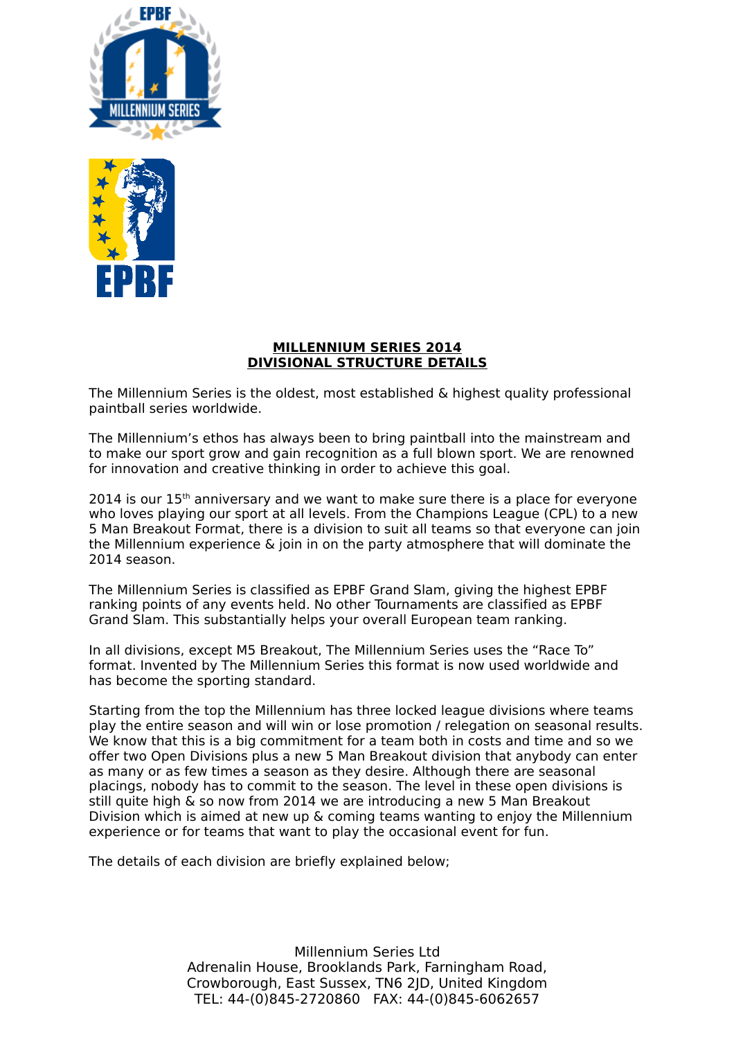



#### **MILLENNIUM SERIES 2014 DIVISIONAL STRUCTURE DETAILS**

The Millennium Series is the oldest, most established & highest quality professional paintball series worldwide.

The Millennium's ethos has always been to bring paintball into the mainstream and to make our sport grow and gain recognition as a full blown sport. We are renowned for innovation and creative thinking in order to achieve this goal.

 $2014$  is our  $15<sup>th</sup>$  anniversary and we want to make sure there is a place for everyone who loves playing our sport at all levels. From the Champions League (CPL) to a new 5 Man Breakout Format, there is a division to suit all teams so that everyone can join the Millennium experience & join in on the party atmosphere that will dominate the 2014 season.

The Millennium Series is classified as EPBF Grand Slam, giving the highest EPBF ranking points of any events held. No other Tournaments are classified as EPBF Grand Slam. This substantially helps your overall European team ranking.

In all divisions, except M5 Breakout, The Millennium Series uses the "Race To" format. Invented by The Millennium Series this format is now used worldwide and has become the sporting standard.

Starting from the top the Millennium has three locked league divisions where teams play the entire season and will win or lose promotion / relegation on seasonal results. We know that this is a big commitment for a team both in costs and time and so we offer two Open Divisions plus a new 5 Man Breakout division that anybody can enter as many or as few times a season as they desire. Although there are seasonal placings, nobody has to commit to the season. The level in these open divisions is still quite high & so now from 2014 we are introducing a new 5 Man Breakout Division which is aimed at new up & coming teams wanting to enjoy the Millennium experience or for teams that want to play the occasional event for fun.

The details of each division are briefly explained below;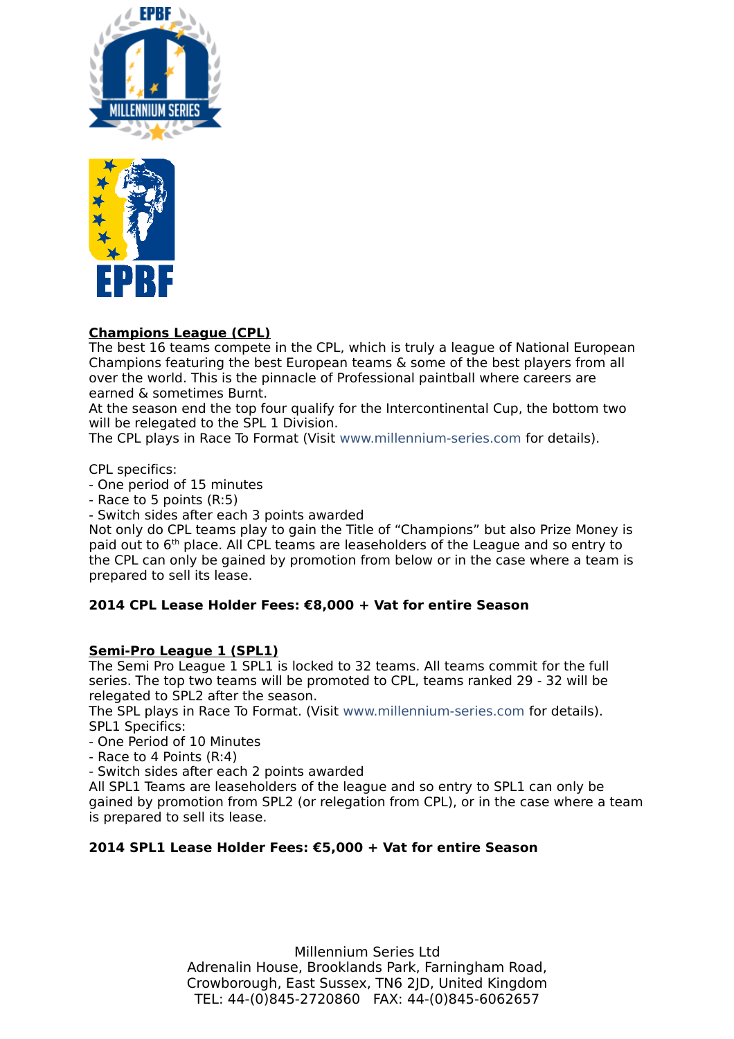



# **Champions League (CPL)**

The best 16 teams compete in the CPL, which is truly a league of National European Champions featuring the best European teams & some of the best players from all over the world. This is the pinnacle of Professional paintball where careers are earned & sometimes Burnt.

At the season end the top four qualify for the Intercontinental Cup, the bottom two will be relegated to the SPL 1 Division.

The CPL plays in Race To Format (Visit [www.millennium-series.com](http://www.millennium-series.com/) for details).

CPL specifics:

- One period of 15 minutes

- Race to 5 points (R:5)

- Switch sides after each 3 points awarded

Not only do CPL teams play to gain the Title of "Champions" but also Prize Money is paid out to 6th place. All CPL teams are leaseholders of the League and so entry to the CPL can only be gained by promotion from below or in the case where a team is prepared to sell its lease.

### **2014 CPL Lease Holder Fees: €8,000 + Vat for entire Season**

### **Semi-Pro League 1 (SPL1)**

The Semi Pro League 1 SPL1 is locked to 32 teams. All teams commit for the full series. The top two teams will be promoted to CPL, teams ranked 29 - 32 will be relegated to SPL2 after the season.

The SPL plays in Race To Format. (Visit [www.millennium-series.com](http://www.millennium-series.com/) for details). SPL1 Specifics:

- One Period of 10 Minutes

- Race to 4 Points (R:4)

- Switch sides after each 2 points awarded

All SPL1 Teams are leaseholders of the league and so entry to SPL1 can only be gained by promotion from SPL2 (or relegation from CPL), or in the case where a team is prepared to sell its lease.

### **2014 SPL1 Lease Holder Fees: €5,000 + Vat for entire Season**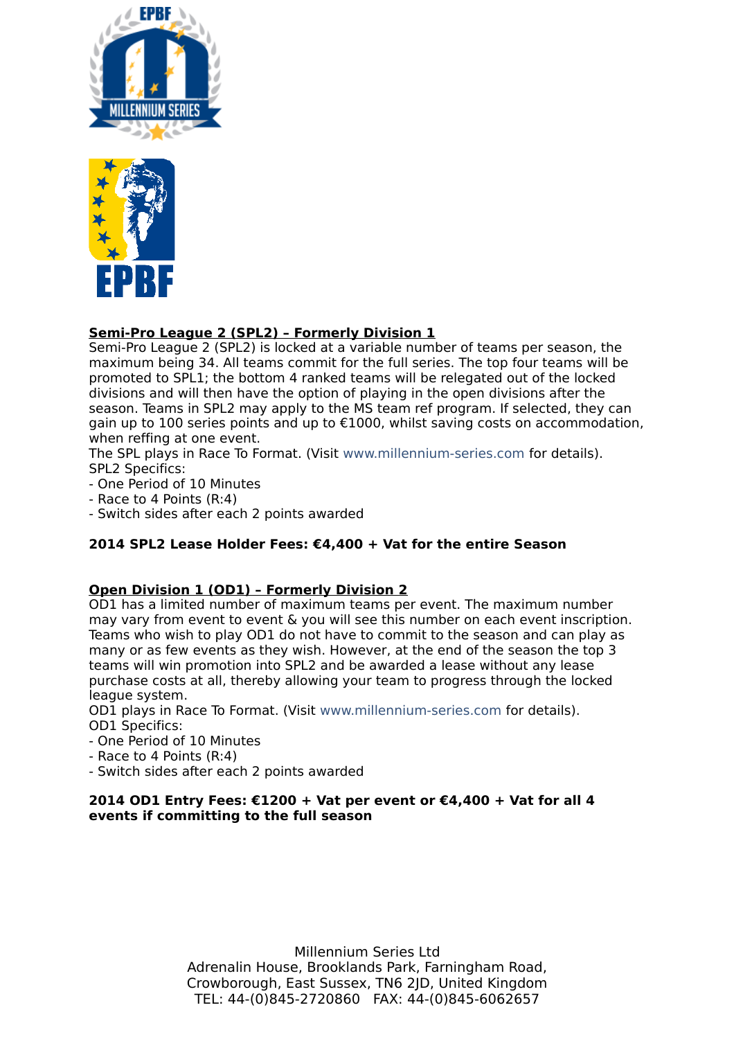



# **Semi-Pro League 2 (SPL2) – Formerly Division 1**

Semi-Pro League 2 (SPL2) is locked at a variable number of teams per season, the maximum being 34. All teams commit for the full series. The top four teams will be promoted to SPL1; the bottom 4 ranked teams will be relegated out of the locked divisions and will then have the option of playing in the open divisions after the season. Teams in SPL2 may apply to the MS team ref program. If selected, they can gain up to 100 series points and up to €1000, whilst saving costs on accommodation, when reffing at one event.

The SPL plays in Race To Format. (Visit [www.millennium-series.com](http://www.millennium-series.com/) for details). SPL2 Specifics:

- One Period of 10 Minutes
- Race to 4 Points (R:4)
- Switch sides after each 2 points awarded

### **2014 SPL2 Lease Holder Fees: €4,400 + Vat for the entire Season**

### **Open Division 1 (OD1) – Formerly Division 2**

OD1 has a limited number of maximum teams per event. The maximum number may vary from event to event & you will see this number on each event inscription. Teams who wish to play OD1 do not have to commit to the season and can play as many or as few events as they wish. However, at the end of the season the top 3 teams will win promotion into SPL2 and be awarded a lease without any lease purchase costs at all, thereby allowing your team to progress through the locked league system.

OD1 plays in Race To Format. (Visit [www.millennium-series.com](http://www.millennium-series.com/) for details). OD1 Specifics:

- One Period of 10 Minutes
- Race to 4 Points (R:4)
- Switch sides after each 2 points awarded

### **2014 OD1 Entry Fees: €1200 + Vat per event or €4,400 + Vat for all 4 events if committing to the full season**